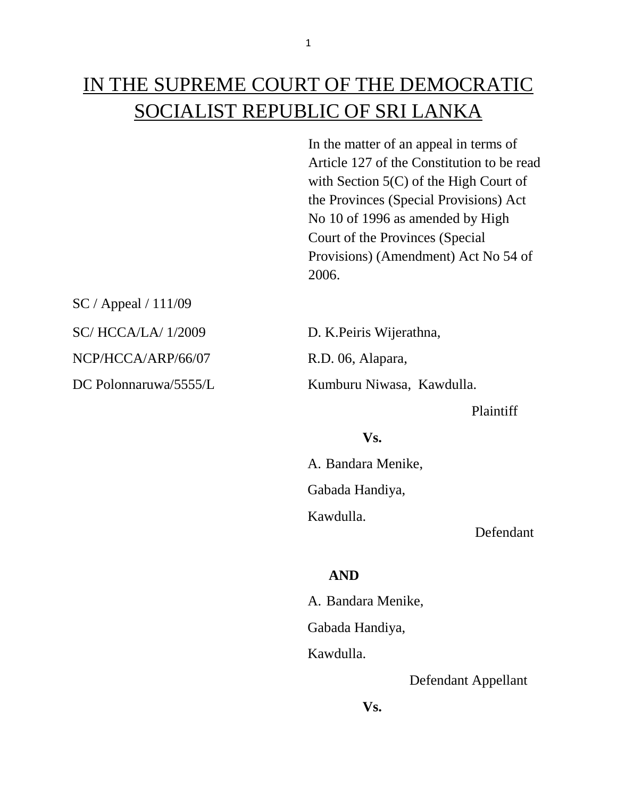# IN THE SUPREME COURT OF THE DEMOCRATIC SOCIALIST REPUBLIC OF SRI LANKA

In the matter of an appeal in terms of Article 127 of the Constitution to be read with Section 5(C) of the High Court of the Provinces (Special Provisions) Act No 10 of 1996 as amended by High Court of the Provinces (Special Provisions) (Amendment) Act No 54 of 2006.

SC / Appeal / 111/09 SC/ HCCA/LA/ 1/2009 D. K.Peiris Wijerathna, NCP/HCCA/ARP/66/07 R.D. 06, Alapara, DC Polonnaruwa/5555/L Kumburu Niwasa, Kawdulla.

Plaintiff

#### **Vs.**

A. Bandara Menike, Gabada Handiya, Kawdulla.

Defendant

### **AND**

 A. Bandara Menike, Gabada Handiya, Kawdulla.

Defendant Appellant

**Vs.**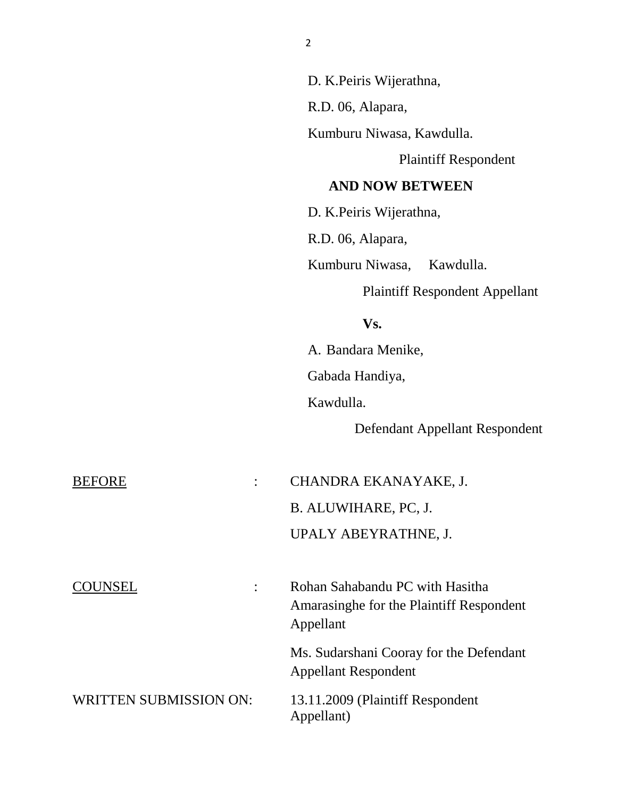|                                 | D. K. Peiris Wijerathna,                                                                 |
|---------------------------------|------------------------------------------------------------------------------------------|
|                                 | R.D. 06, Alapara,                                                                        |
|                                 | Kumburu Niwasa, Kawdulla.                                                                |
|                                 | <b>Plaintiff Respondent</b>                                                              |
|                                 | <b>AND NOW BETWEEN</b>                                                                   |
|                                 | D. K. Peiris Wijerathna,                                                                 |
|                                 | R.D. 06, Alapara,                                                                        |
|                                 | Kumburu Niwasa,<br>Kawdulla.                                                             |
|                                 | <b>Plaintiff Respondent Appellant</b>                                                    |
|                                 | Vs.                                                                                      |
|                                 | A. Bandara Menike,                                                                       |
|                                 | Gabada Handiya,                                                                          |
|                                 | Kawdulla.                                                                                |
|                                 | Defendant Appellant Respondent                                                           |
| <b>BEFORE</b><br>$\ddot{\cdot}$ | CHANDRA EKANAYAKE, J.                                                                    |
|                                 | B. ALUWIHARE, PC, J.                                                                     |
|                                 | UPALY ABEYRATHNE, J.                                                                     |
| <b>COUNSEL</b>                  | Rohan Sahabandu PC with Hasitha<br>Amarasinghe for the Plaintiff Respondent<br>Appellant |
|                                 | Ms. Sudarshani Cooray for the Defendant<br><b>Appellant Respondent</b>                   |
| <b>WRITTEN SUBMISSION ON:</b>   | 13.11.2009 (Plaintiff Respondent<br>Appellant)                                           |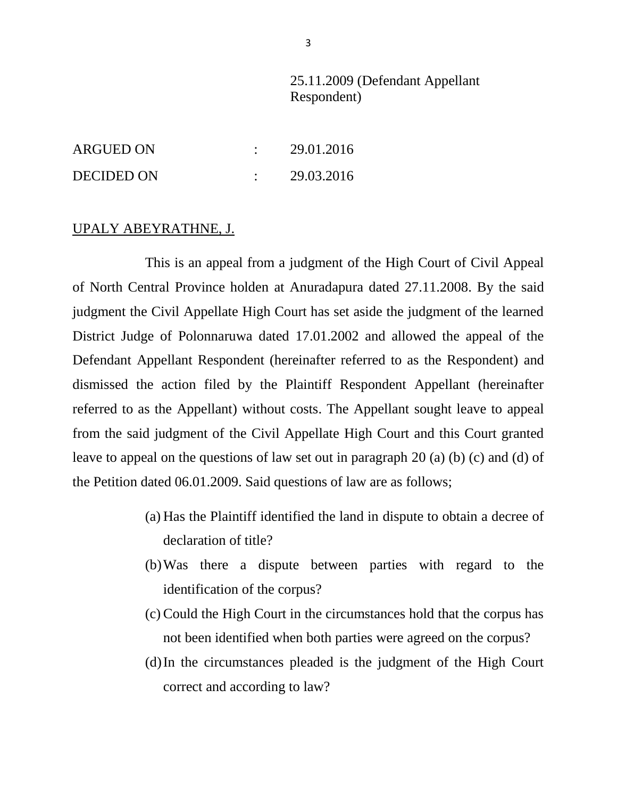## 25.11.2009 (Defendant Appellant Respondent)

| <b>ARGUED ON</b>  | 29.01.2016 |
|-------------------|------------|
| <b>DECIDED ON</b> | 29.03.2016 |

#### UPALY ABEYRATHNE, J.

This is an appeal from a judgment of the High Court of Civil Appeal of North Central Province holden at Anuradapura dated 27.11.2008. By the said judgment the Civil Appellate High Court has set aside the judgment of the learned District Judge of Polonnaruwa dated 17.01.2002 and allowed the appeal of the Defendant Appellant Respondent (hereinafter referred to as the Respondent) and dismissed the action filed by the Plaintiff Respondent Appellant (hereinafter referred to as the Appellant) without costs. The Appellant sought leave to appeal from the said judgment of the Civil Appellate High Court and this Court granted leave to appeal on the questions of law set out in paragraph 20 (a) (b) (c) and (d) of the Petition dated 06.01.2009. Said questions of law are as follows;

- (a) Has the Plaintiff identified the land in dispute to obtain a decree of declaration of title?
- (b)Was there a dispute between parties with regard to the identification of the corpus?
- (c) Could the High Court in the circumstances hold that the corpus has not been identified when both parties were agreed on the corpus?
- (d)In the circumstances pleaded is the judgment of the High Court correct and according to law?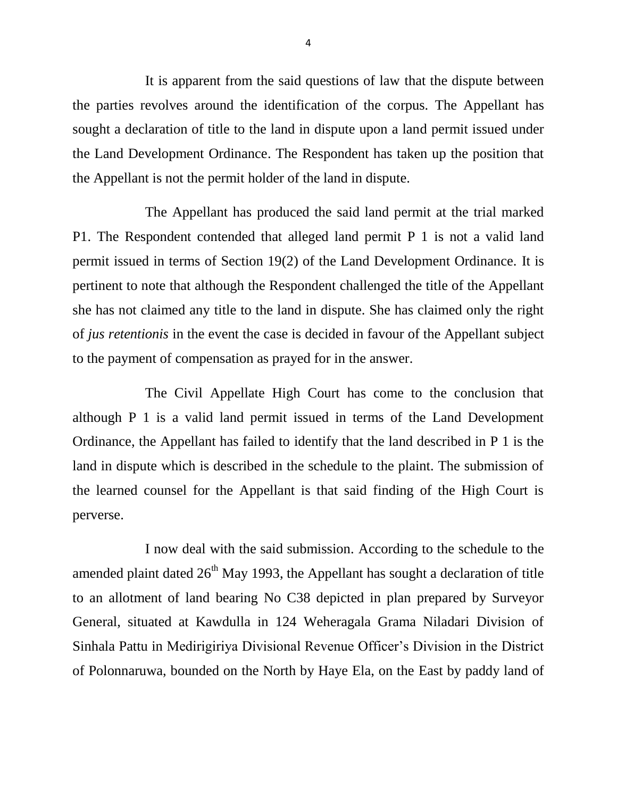It is apparent from the said questions of law that the dispute between the parties revolves around the identification of the corpus. The Appellant has sought a declaration of title to the land in dispute upon a land permit issued under the Land Development Ordinance. The Respondent has taken up the position that the Appellant is not the permit holder of the land in dispute.

The Appellant has produced the said land permit at the trial marked P1. The Respondent contended that alleged land permit P 1 is not a valid land permit issued in terms of Section 19(2) of the Land Development Ordinance. It is pertinent to note that although the Respondent challenged the title of the Appellant she has not claimed any title to the land in dispute. She has claimed only the right of *jus retentionis* in the event the case is decided in favour of the Appellant subject to the payment of compensation as prayed for in the answer.

The Civil Appellate High Court has come to the conclusion that although P 1 is a valid land permit issued in terms of the Land Development Ordinance, the Appellant has failed to identify that the land described in P 1 is the land in dispute which is described in the schedule to the plaint. The submission of the learned counsel for the Appellant is that said finding of the High Court is perverse.

I now deal with the said submission. According to the schedule to the amended plaint dated  $26<sup>th</sup>$  May 1993, the Appellant has sought a declaration of title to an allotment of land bearing No C38 depicted in plan prepared by Surveyor General, situated at Kawdulla in 124 Weheragala Grama Niladari Division of Sinhala Pattu in Medirigiriya Divisional Revenue Officer's Division in the District of Polonnaruwa, bounded on the North by Haye Ela, on the East by paddy land of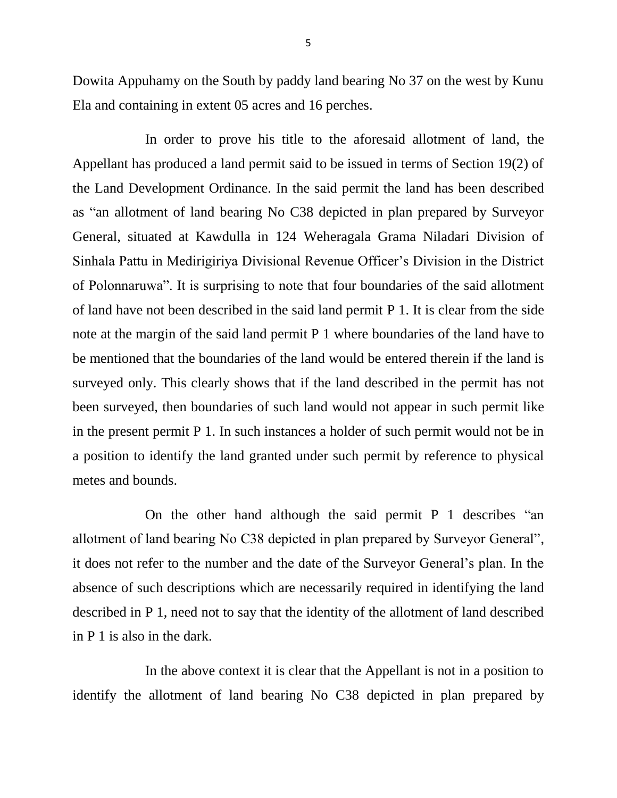Dowita Appuhamy on the South by paddy land bearing No 37 on the west by Kunu Ela and containing in extent 05 acres and 16 perches.

In order to prove his title to the aforesaid allotment of land, the Appellant has produced a land permit said to be issued in terms of Section 19(2) of the Land Development Ordinance. In the said permit the land has been described as "an allotment of land bearing No C38 depicted in plan prepared by Surveyor General, situated at Kawdulla in 124 Weheragala Grama Niladari Division of Sinhala Pattu in Medirigiriya Divisional Revenue Officer's Division in the District of Polonnaruwa". It is surprising to note that four boundaries of the said allotment of land have not been described in the said land permit P 1. It is clear from the side note at the margin of the said land permit P 1 where boundaries of the land have to be mentioned that the boundaries of the land would be entered therein if the land is surveyed only. This clearly shows that if the land described in the permit has not been surveyed, then boundaries of such land would not appear in such permit like in the present permit P 1. In such instances a holder of such permit would not be in a position to identify the land granted under such permit by reference to physical metes and bounds.

On the other hand although the said permit P 1 describes "an allotment of land bearing No C38 depicted in plan prepared by Surveyor General", it does not refer to the number and the date of the Surveyor General's plan. In the absence of such descriptions which are necessarily required in identifying the land described in P 1, need not to say that the identity of the allotment of land described in P 1 is also in the dark.

In the above context it is clear that the Appellant is not in a position to identify the allotment of land bearing No C38 depicted in plan prepared by